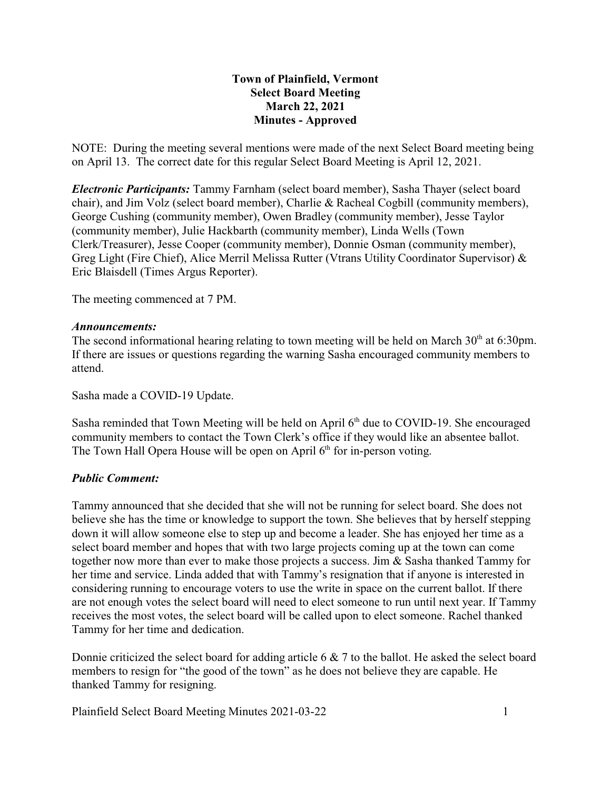## **Town of Plainfield, Vermont Select Board Meeting March 22, 2021 Minutes - Approved**

NOTE: During the meeting several mentions were made of the next Select Board meeting being on April 13. The correct date for this regular Select Board Meeting is April 12, 2021.

*Electronic Participants:* Tammy Farnham (select board member), Sasha Thayer (select board chair), and Jim Volz (select board member), Charlie & Racheal Cogbill (community members), George Cushing (community member), Owen Bradley (community member), Jesse Taylor (community member), Julie Hackbarth (community member), Linda Wells (Town Clerk/Treasurer), Jesse Cooper (community member), Donnie Osman (community member), Greg Light (Fire Chief), Alice Merril Melissa Rutter (Vtrans Utility Coordinator Supervisor) & Eric Blaisdell (Times Argus Reporter).

The meeting commenced at 7 PM.

### *Announcements:*

The second informational hearing relating to town meeting will be held on March  $30<sup>th</sup>$  at 6:30pm. If there are issues or questions regarding the warning Sasha encouraged community members to attend.

Sasha made a COVID-19 Update.

Sasha reminded that Town Meeting will be held on April 6<sup>th</sup> due to COVID-19. She encouraged community members to contact the Town Clerk's office if they would like an absentee ballot. The Town Hall Opera House will be open on April  $6<sup>th</sup>$  for in-person voting.

### *Public Comment:*

Tammy announced that she decided that she will not be running for select board. She does not believe she has the time or knowledge to support the town. She believes that by herself stepping down it will allow someone else to step up and become a leader. She has enjoyed her time as a select board member and hopes that with two large projects coming up at the town can come together now more than ever to make those projects a success. Jim & Sasha thanked Tammy for her time and service. Linda added that with Tammy's resignation that if anyone is interested in considering running to encourage voters to use the write in space on the current ballot. If there are not enough votes the select board will need to elect someone to run until next year. If Tammy receives the most votes, the select board will be called upon to elect someone. Rachel thanked Tammy for her time and dedication.

Donnie criticized the select board for adding article 6 & 7 to the ballot. He asked the select board members to resign for "the good of the town" as he does not believe they are capable. He thanked Tammy for resigning.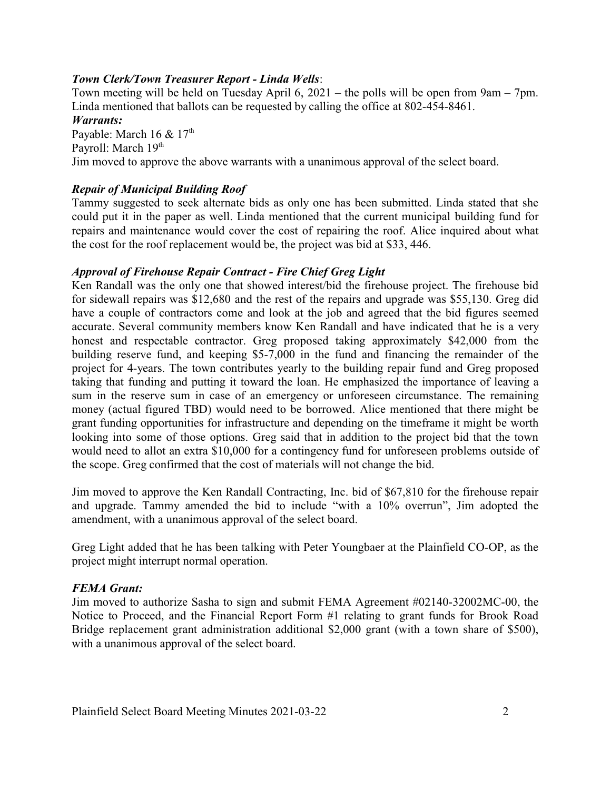## *Town Clerk/Town Treasurer Report - Linda Wells*:

Town meeting will be held on Tuesday April 6, 2021 – the polls will be open from 9am – 7pm. Linda mentioned that ballots can be requested by calling the office at 802-454-8461.

#### *Warrants:*

Payable: March 16  $& 17<sup>th</sup>$ Payroll: March 19<sup>th</sup> Jim moved to approve the above warrants with a unanimous approval of the select board.

## *Repair of Municipal Building Roof*

Tammy suggested to seek alternate bids as only one has been submitted. Linda stated that she could put it in the paper as well. Linda mentioned that the current municipal building fund for repairs and maintenance would cover the cost of repairing the roof. Alice inquired about what the cost for the roof replacement would be, the project was bid at \$33, 446.

## *Approval of Firehouse Repair Contract - Fire Chief Greg Light*

Ken Randall was the only one that showed interest/bid the firehouse project. The firehouse bid for sidewall repairs was \$12,680 and the rest of the repairs and upgrade was \$55,130. Greg did have a couple of contractors come and look at the job and agreed that the bid figures seemed accurate. Several community members know Ken Randall and have indicated that he is a very honest and respectable contractor. Greg proposed taking approximately \$42,000 from the building reserve fund, and keeping \$5-7,000 in the fund and financing the remainder of the project for 4-years. The town contributes yearly to the building repair fund and Greg proposed taking that funding and putting it toward the loan. He emphasized the importance of leaving a sum in the reserve sum in case of an emergency or unforeseen circumstance. The remaining money (actual figured TBD) would need to be borrowed. Alice mentioned that there might be grant funding opportunities for infrastructure and depending on the timeframe it might be worth looking into some of those options. Greg said that in addition to the project bid that the town would need to allot an extra \$10,000 for a contingency fund for unforeseen problems outside of the scope. Greg confirmed that the cost of materials will not change the bid.

Jim moved to approve the Ken Randall Contracting, Inc. bid of \$67,810 for the firehouse repair and upgrade. Tammy amended the bid to include "with a 10% overrun", Jim adopted the amendment, with a unanimous approval of the select board.

Greg Light added that he has been talking with Peter Youngbaer at the Plainfield CO-OP, as the project might interrupt normal operation.

### *FEMA Grant:*

Jim moved to authorize Sasha to sign and submit FEMA Agreement #02140-32002MC-00, the Notice to Proceed, and the Financial Report Form #1 relating to grant funds for Brook Road Bridge replacement grant administration additional \$2,000 grant (with a town share of \$500), with a unanimous approval of the select board.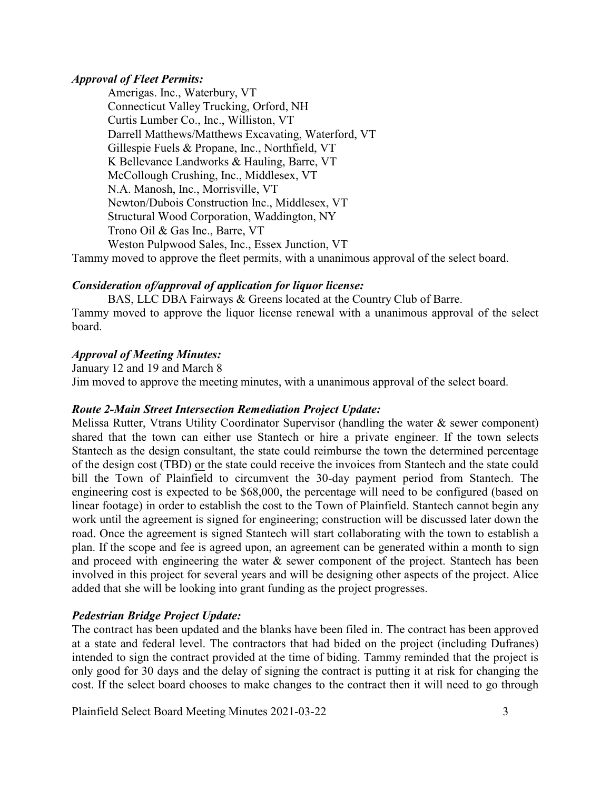#### *Approval of Fleet Permits:*

Amerigas. Inc., Waterbury, VT Connecticut Valley Trucking, Orford, NH Curtis Lumber Co., Inc., Williston, VT Darrell Matthews/Matthews Excavating, Waterford, VT Gillespie Fuels & Propane, Inc., Northfield, VT K Bellevance Landworks & Hauling, Barre, VT McCollough Crushing, Inc., Middlesex, VT N.A. Manosh, Inc., Morrisville, VT Newton/Dubois Construction Inc., Middlesex, VT Structural Wood Corporation, Waddington, NY Trono Oil & Gas Inc., Barre, VT Weston Pulpwood Sales, Inc., Essex Junction, VT

Tammy moved to approve the fleet permits, with a unanimous approval of the select board.

### *Consideration of/approval of application for liquor license:*

BAS, LLC DBA Fairways & Greens located at the Country Club of Barre. Tammy moved to approve the liquor license renewal with a unanimous approval of the select board.

### *Approval of Meeting Minutes:*

January 12 and 19 and March 8 Jim moved to approve the meeting minutes, with a unanimous approval of the select board.

### *Route 2-Main Street Intersection Remediation Project Update:*

Melissa Rutter, Vtrans Utility Coordinator Supervisor (handling the water & sewer component) shared that the town can either use Stantech or hire a private engineer. If the town selects Stantech as the design consultant, the state could reimburse the town the determined percentage of the design cost (TBD) or the state could receive the invoices from Stantech and the state could bill the Town of Plainfield to circumvent the 30-day payment period from Stantech. The engineering cost is expected to be \$68,000, the percentage will need to be configured (based on linear footage) in order to establish the cost to the Town of Plainfield. Stantech cannot begin any work until the agreement is signed for engineering; construction will be discussed later down the road. Once the agreement is signed Stantech will start collaborating with the town to establish a plan. If the scope and fee is agreed upon, an agreement can be generated within a month to sign and proceed with engineering the water  $\&$  sewer component of the project. Stantech has been involved in this project for several years and will be designing other aspects of the project. Alice added that she will be looking into grant funding as the project progresses.

### *Pedestrian Bridge Project Update:*

The contract has been updated and the blanks have been filed in. The contract has been approved at a state and federal level. The contractors that had bided on the project (including Dufranes) intended to sign the contract provided at the time of biding. Tammy reminded that the project is only good for 30 days and the delay of signing the contract is putting it at risk for changing the cost. If the select board chooses to make changes to the contract then it will need to go through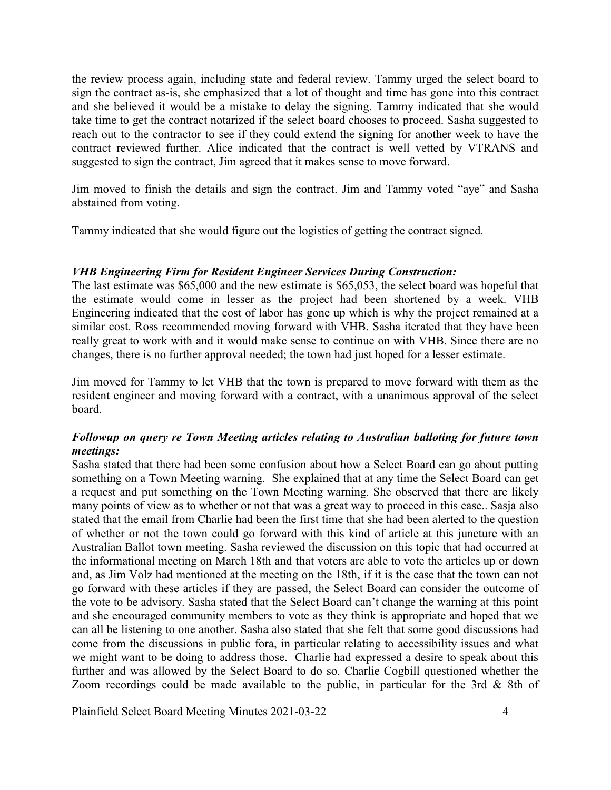the review process again, including state and federal review. Tammy urged the select board to sign the contract as-is, she emphasized that a lot of thought and time has gone into this contract and she believed it would be a mistake to delay the signing. Tammy indicated that she would take time to get the contract notarized if the select board chooses to proceed. Sasha suggested to reach out to the contractor to see if they could extend the signing for another week to have the contract reviewed further. Alice indicated that the contract is well vetted by VTRANS and suggested to sign the contract, Jim agreed that it makes sense to move forward.

Jim moved to finish the details and sign the contract. Jim and Tammy voted "aye" and Sasha abstained from voting.

Tammy indicated that she would figure out the logistics of getting the contract signed.

## *VHB Engineering Firm for Resident Engineer Services During Construction:*

The last estimate was \$65,000 and the new estimate is \$65,053, the select board was hopeful that the estimate would come in lesser as the project had been shortened by a week. VHB Engineering indicated that the cost of labor has gone up which is why the project remained at a similar cost. Ross recommended moving forward with VHB. Sasha iterated that they have been really great to work with and it would make sense to continue on with VHB. Since there are no changes, there is no further approval needed; the town had just hoped for a lesser estimate.

Jim moved for Tammy to let VHB that the town is prepared to move forward with them as the resident engineer and moving forward with a contract, with a unanimous approval of the select board.

## *Followup on query re Town Meeting articles relating to Australian balloting for future town meetings:*

Sasha stated that there had been some confusion about how a Select Board can go about putting something on a Town Meeting warning. She explained that at any time the Select Board can get a request and put something on the Town Meeting warning. She observed that there are likely many points of view as to whether or not that was a great way to proceed in this case.. Sasja also stated that the email from Charlie had been the first time that she had been alerted to the question of whether or not the town could go forward with this kind of article at this juncture with an Australian Ballot town meeting. Sasha reviewed the discussion on this topic that had occurred at the informational meeting on March 18th and that voters are able to vote the articles up or down and, as Jim Volz had mentioned at the meeting on the 18th, if it is the case that the town can not go forward with these articles if they are passed, the Select Board can consider the outcome of the vote to be advisory. Sasha stated that the Select Board can't change the warning at this point and she encouraged community members to vote as they think is appropriate and hoped that we can all be listening to one another. Sasha also stated that she felt that some good discussions had come from the discussions in public fora, in particular relating to accessibility issues and what we might want to be doing to address those. Charlie had expressed a desire to speak about this further and was allowed by the Select Board to do so. Charlie Cogbill questioned whether the Zoom recordings could be made available to the public, in particular for the 3rd & 8th of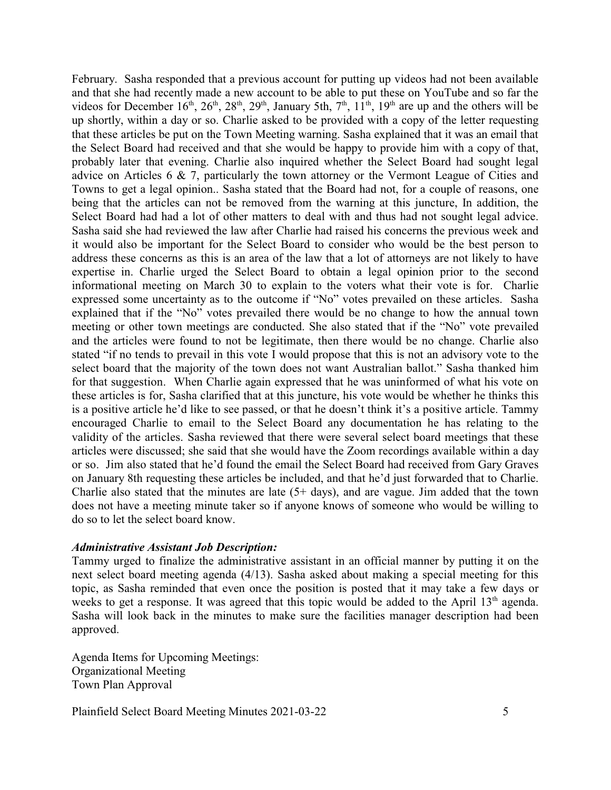February. Sasha responded that a previous account for putting up videos had not been available and that she had recently made a new account to be able to put these on YouTube and so far the videos for December  $16<sup>th</sup>$ ,  $26<sup>th</sup>$ ,  $28<sup>th</sup>$ ,  $29<sup>th</sup>$ , January 5th,  $7<sup>th</sup>$ ,  $11<sup>th</sup>$ ,  $19<sup>th</sup>$  are up and the others will be up shortly, within a day or so. Charlie asked to be provided with a copy of the letter requesting that these articles be put on the Town Meeting warning. Sasha explained that it was an email that the Select Board had received and that she would be happy to provide him with a copy of that, probably later that evening. Charlie also inquired whether the Select Board had sought legal advice on Articles 6 & 7, particularly the town attorney or the Vermont League of Cities and Towns to get a legal opinion.. Sasha stated that the Board had not, for a couple of reasons, one being that the articles can not be removed from the warning at this juncture, In addition, the Select Board had had a lot of other matters to deal with and thus had not sought legal advice. Sasha said she had reviewed the law after Charlie had raised his concerns the previous week and it would also be important for the Select Board to consider who would be the best person to address these concerns as this is an area of the law that a lot of attorneys are not likely to have expertise in. Charlie urged the Select Board to obtain a legal opinion prior to the second informational meeting on March 30 to explain to the voters what their vote is for. Charlie expressed some uncertainty as to the outcome if "No" votes prevailed on these articles. Sasha explained that if the "No" votes prevailed there would be no change to how the annual town meeting or other town meetings are conducted. She also stated that if the "No" vote prevailed and the articles were found to not be legitimate, then there would be no change. Charlie also stated "if no tends to prevail in this vote I would propose that this is not an advisory vote to the select board that the majority of the town does not want Australian ballot." Sasha thanked him for that suggestion. When Charlie again expressed that he was uninformed of what his vote on these articles is for, Sasha clarified that at this juncture, his vote would be whether he thinks this is a positive article he'd like to see passed, or that he doesn't think it's a positive article. Tammy encouraged Charlie to email to the Select Board any documentation he has relating to the validity of the articles. Sasha reviewed that there were several select board meetings that these articles were discussed; she said that she would have the Zoom recordings available within a day or so. Jim also stated that he'd found the email the Select Board had received from Gary Graves on January 8th requesting these articles be included, and that he'd just forwarded that to Charlie. Charlie also stated that the minutes are late  $(5+ days)$ , and are vague. Jim added that the town does not have a meeting minute taker so if anyone knows of someone who would be willing to do so to let the select board know.

#### *Administrative Assistant Job Description:*

Tammy urged to finalize the administrative assistant in an official manner by putting it on the next select board meeting agenda (4/13). Sasha asked about making a special meeting for this topic, as Sasha reminded that even once the position is posted that it may take a few days or weeks to get a response. It was agreed that this topic would be added to the April 13<sup>th</sup> agenda. Sasha will look back in the minutes to make sure the facilities manager description had been approved.

Agenda Items for Upcoming Meetings: Organizational Meeting Town Plan Approval